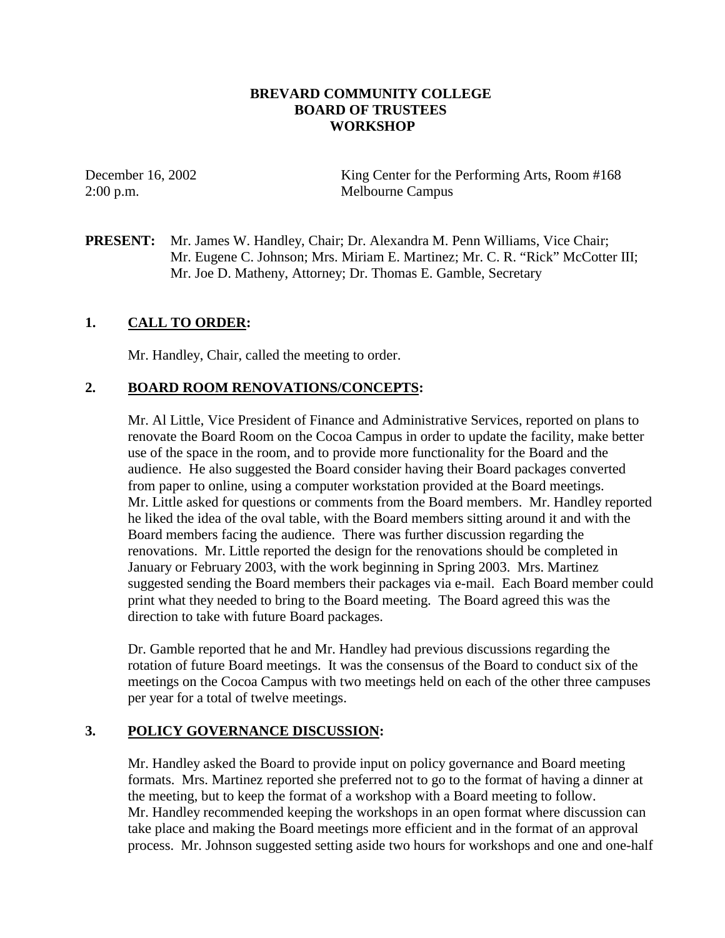#### **BREVARD COMMUNITY COLLEGE BOARD OF TRUSTEES WORKSHOP**

December 16, 2002 King Center for the Performing Arts, Room #168 2:00 p.m. Melbourne Campus

**PRESENT:** Mr. James W. Handley, Chair; Dr. Alexandra M. Penn Williams, Vice Chair; Mr. Eugene C. Johnson; Mrs. Miriam E. Martinez; Mr. C. R. "Rick" McCotter III; Mr. Joe D. Matheny, Attorney; Dr. Thomas E. Gamble, Secretary

# **1. CALL TO ORDER:**

Mr. Handley, Chair, called the meeting to order.

#### **2. BOARD ROOM RENOVATIONS/CONCEPTS:**

Mr. Al Little, Vice President of Finance and Administrative Services, reported on plans to renovate the Board Room on the Cocoa Campus in order to update the facility, make better use of the space in the room, and to provide more functionality for the Board and the audience. He also suggested the Board consider having their Board packages converted from paper to online, using a computer workstation provided at the Board meetings. Mr. Little asked for questions or comments from the Board members. Mr. Handley reported he liked the idea of the oval table, with the Board members sitting around it and with the Board members facing the audience. There was further discussion regarding the renovations. Mr. Little reported the design for the renovations should be completed in January or February 2003, with the work beginning in Spring 2003. Mrs. Martinez suggested sending the Board members their packages via e-mail. Each Board member could print what they needed to bring to the Board meeting. The Board agreed this was the direction to take with future Board packages.

Dr. Gamble reported that he and Mr. Handley had previous discussions regarding the rotation of future Board meetings. It was the consensus of the Board to conduct six of the meetings on the Cocoa Campus with two meetings held on each of the other three campuses per year for a total of twelve meetings.

# **3. POLICY GOVERNANCE DISCUSSION:**

Mr. Handley asked the Board to provide input on policy governance and Board meeting formats. Mrs. Martinez reported she preferred not to go to the format of having a dinner at the meeting, but to keep the format of a workshop with a Board meeting to follow. Mr. Handley recommended keeping the workshops in an open format where discussion can take place and making the Board meetings more efficient and in the format of an approval process. Mr. Johnson suggested setting aside two hours for workshops and one and one-half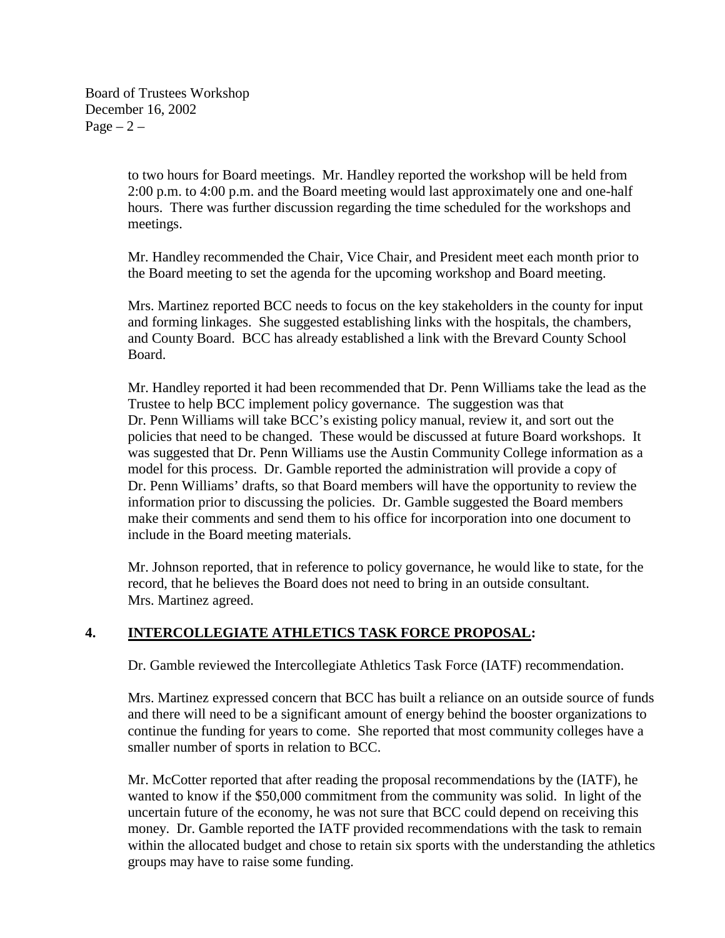Board of Trustees Workshop December 16, 2002  $Page - 2 -$ 

> to two hours for Board meetings. Mr. Handley reported the workshop will be held from 2:00 p.m. to 4:00 p.m. and the Board meeting would last approximately one and one-half hours. There was further discussion regarding the time scheduled for the workshops and meetings.

Mr. Handley recommended the Chair, Vice Chair, and President meet each month prior to the Board meeting to set the agenda for the upcoming workshop and Board meeting.

Mrs. Martinez reported BCC needs to focus on the key stakeholders in the county for input and forming linkages. She suggested establishing links with the hospitals, the chambers, and County Board. BCC has already established a link with the Brevard County School Board.

Mr. Handley reported it had been recommended that Dr. Penn Williams take the lead as the Trustee to help BCC implement policy governance. The suggestion was that Dr. Penn Williams will take BCC's existing policy manual, review it, and sort out the policies that need to be changed. These would be discussed at future Board workshops. It was suggested that Dr. Penn Williams use the Austin Community College information as a model for this process. Dr. Gamble reported the administration will provide a copy of Dr. Penn Williams' drafts, so that Board members will have the opportunity to review the information prior to discussing the policies. Dr. Gamble suggested the Board members make their comments and send them to his office for incorporation into one document to include in the Board meeting materials.

Mr. Johnson reported, that in reference to policy governance, he would like to state, for the record, that he believes the Board does not need to bring in an outside consultant. Mrs. Martinez agreed.

#### **4. INTERCOLLEGIATE ATHLETICS TASK FORCE PROPOSAL:**

Dr. Gamble reviewed the Intercollegiate Athletics Task Force (IATF) recommendation.

Mrs. Martinez expressed concern that BCC has built a reliance on an outside source of funds and there will need to be a significant amount of energy behind the booster organizations to continue the funding for years to come. She reported that most community colleges have a smaller number of sports in relation to BCC.

Mr. McCotter reported that after reading the proposal recommendations by the (IATF), he wanted to know if the \$50,000 commitment from the community was solid. In light of the uncertain future of the economy, he was not sure that BCC could depend on receiving this money. Dr. Gamble reported the IATF provided recommendations with the task to remain within the allocated budget and chose to retain six sports with the understanding the athletics groups may have to raise some funding.